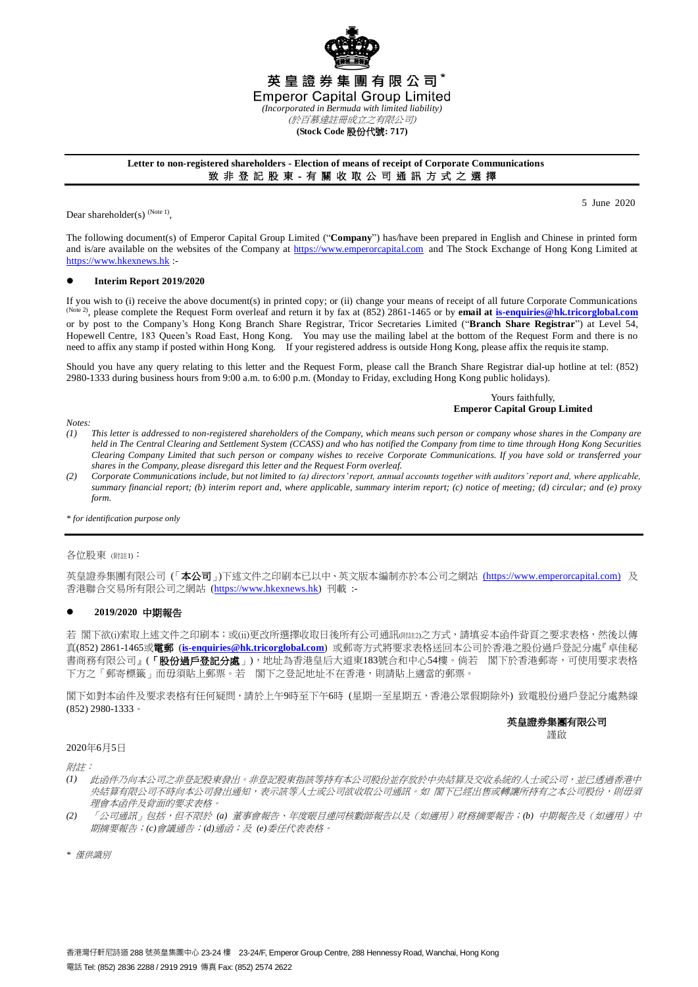

## **Letter to non-registered shareholders - Election of means of receipt of Corporate Communications** 致 非 登 記 股 東 - 有 關 收 取 公 司 通 訊 方 式 之 選 擇

Dear shareholder(s)  $(Note 1)$ ,

5 June 2020

The following document(s) of Emperor Capital Group Limited ("**Company**") has/have been prepared in English and Chinese in printed form and is/are available on the websites of the Company at [https://www.emperorcapital.com](https://www.emperorcapital.com/) and The Stock Exchange of Hong Kong Limited at [https://www.hkexnews.hk](https://www.hkexnews.hk/) :-

## **Interim Report 2019/2020**

If you wish to (i) receive the above document(s) in printed copy; or (ii) change your means of receipt of all future Corporate Communications <sup>(Note 2)</sup>, please complete the Request Form overleaf and return it by fax at (852) 2861-1465 or by **email at <u>is-enquiries@hk.tricorglobal.com</u>** or by post to the Company's Hong Kong Branch Share Registrar, Tricor Secretaries Limited ("**Branch Share Registrar**") at Level 54, Hopewell Centre, 183 Queen's Road East, Hong Kong. You may use the mailing label at the bottom of the Request Form and there is no need to affix any stamp if posted within Hong Kong. If your registered address is outside Hong Kong, please affix the requisite stamp.

Should you have any query relating to this letter and the Request Form, please call the Branch Share Registrar dial-up hotline at tel: (852) 2980-1333 during business hours from 9:00 a.m. to 6:00 p.m. (Monday to Friday, excluding Hong Kong public holidays).

## Yours faithfully, **Emperor Capital Group Limited**

*Notes:*

- *(1) This letter is addressed to non-registered shareholders of the Company, which means such person or company whose shares in the Company are held in The Central Clearing and Settlement System (CCASS) and who has notified the Company from time to time through Hong Kong Securities Clearing Company Limited that such person or company wishes to receive Corporate Communications. If you have sold or transferred your shares in the Company, please disregard this letter and the Request Form overleaf.*
- *(2) Corporate Communications include, but not limited to (a) directors' report, annual accounts together with auditors' report and, where applicable, summary financial report; (b) interim report and, where applicable, summary interim report; (c) notice of meeting; (d) circular; and (e) proxy form.*

*\* for identification purpose only*

#### 各位股東 (附註1):

英皇證券集團有限公司(「本公司」)下述文件之印刷本已以中、英文版本編制亦於本公司之網站 [\(https://www.emperorcapital.com\)](https://www.emperorcapital.com/) 及 香港聯合交易所有限公司之網站 [\(https://www.hkexnews.hk\)](https://www.hkexnews.hk/) 刊載 :-

## **2019/2020** 中期報告

若 閣下欲(i)索取上述文件之印刷本;或(ii)更改所選擇收取日後所有公司通訊(附註2)之方式,請填妥本函件背頁之要求表格,然後以傳 真(852) 2861-1465或電郵 (**[is-enquiries@hk.tricorglobal.com](mailto:is-enquiries@hk.tricorglobal.com)**) 或郵寄方式將要求表格送回本公司於香港之股份過戶登記分處『卓佳秘 書商務有限公司』(「**股份過戶登記分處」**),地址為香港皇后大道東183號合和中心54樓。倘若 閣下於香港郵寄,可使用要求表格 下方之「郵寄標籤」而毋須貼上郵票。若 閣下之登記地址不在香港,則請貼上適當的郵票。

閣下如對本函件及要求表格有任何疑問,請於上午9時至下午6時 (星期一至星期五,香港公眾假期除外) 致電股份過戶登記分處熱線 (852) 2980-1333。

#### 英皇證券集團有限公司 謹啟

2020年6月5日

附註:

- *(1)* 此函件乃向本公司之非登記股東發出。非登記股東指該等持有本公司股份並存放於中央結算及交收系統的人士或公司,並已透過香港中 央結算有限公司不時向本公司發出通知,表示該等人士或公司欲收取公司通訊。如 閣下已經出售或轉讓所持有之本公司股份,則毋須 理會本函件及背面的要求表格。
- *(2)* 「公司通訊」包括,但不限於 *(a)* 董事會報告、年度賬目連同核數師報告以及(如適用)財務摘要報告;*(b)* 中期報告及(如適用)中 期摘要報告;*(c)*會議通告;*(d)*通函;及 *(e)*委任代表表格。

*\** 僅供識別